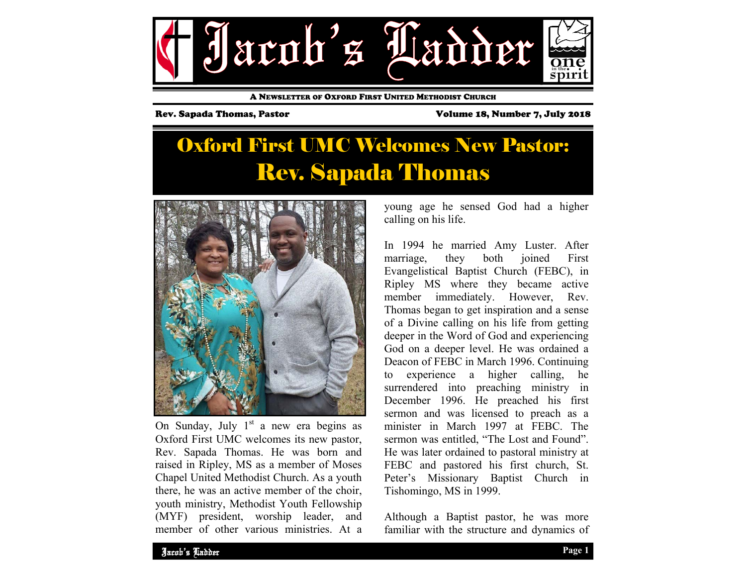

A NEWSLETTER OF OXFORD FIRST UNITED METHODIST CHURCH

Rev. Sapada Thomas, Pastor Volume 18, Number 7, July 2018

## Oxford First UMC Welcomes New Pastor: Rev. Sapada Thomas



On Sunday, July  $1<sup>st</sup>$  a new era begins as Oxford First UMC welcomes its new pastor, Rev. Sapada Thomas. He was born and raised in Ripley, MS as a member of Moses Chapel United Methodist Church. As a youth there, he was an active member of the choir, youth ministry, Methodist Youth Fellowship (MYF) president, worship leader, and member of other various ministries. At a

young age he sensed God had a higher calling on his life.

In 1994 he married Amy Luster. After marriage, they both joined First Evangelistical Baptist Church (FEBC), in Ripley MS where they became active member immediately. However, Rev. Thomas began to get inspiration and a sense of a Divine calling on his life from getting deeper in the Word of God and experiencing God on a deeper level. He was ordained a Deacon of FEBC in March 1996. Continuing to experience a higher calling, he surrendered into preaching ministry in December 1996. He preached his first sermon and was licensed to preach as a minister in March 1997 at FEBC. The sermon was entitled, "The Lost and Found". He was later ordained to pastoral ministry at FEBC and pastored his first church, St. Peter's Missionary Baptist Church in Tishomingo, MS in 1999.

Although a Baptist pastor, he was more familiar with the structure and dynamics of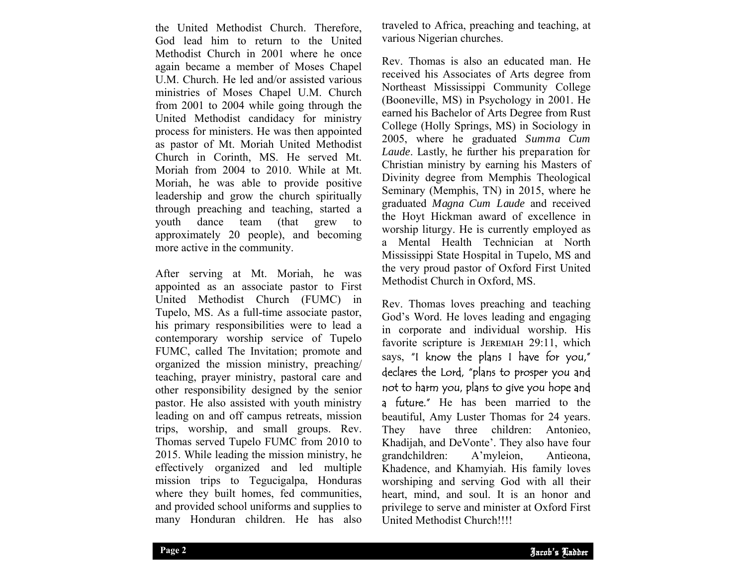the United Methodist Church. Therefore, God lead him to return to the United Methodist Church in 2001 where he once again became a member of Moses Chapel U.M. Church. He led and/or assisted various ministries of Moses Chapel U.M. Church from 2001 to 2004 while going through the United Methodist candidacy for ministry process for ministers. He was then appointed as pastor of Mt. Moriah United Methodist Church in Corinth, MS. He served Mt. Moriah from 2004 to 2010. While at Mt. Moriah, he was able to provide positive leadership and grow the church spiritually through preaching and teaching, started a youth dance team (that grew to approximately 20 people), and becoming more active in the community.

After serving at Mt. Moriah, he was appointed as an associate pastor to First United Methodist Church (FUMC) in Tupelo, MS. As a full-time associate pastor, his primary responsibilities were to lead a contemporary worship service of Tupelo FUMC, called The Invitation; promote and organized the mission ministry, preaching/ teaching, prayer ministry, pastoral care and other responsibility designed by the senior pastor. He also assisted with youth ministry leading on and off campus retreats, mission trips, worship, and small groups. Rev. Thomas served Tupelo FUMC from 2010 to 2015. While leading the mission ministry, he effectively organized and led multiple mission trips to Tegucigalpa, Honduras where they built homes, fed communities, and provided school uniforms and supplies to many Honduran children. He has also

traveled to Africa, preaching and teaching, at various Nigerian churches.

Rev. Thomas is also an educated man. He received his Associates of Arts degree from Northeast Mississippi Community College (Booneville, MS) in Psychology in 2001. He earned his Bachelor of Arts Degree from Rust College (Holly Springs, MS) in Sociology in 2005, where he graduated *Summa Cum Laude*. Lastly, he further his preparation for Christian ministry by earning his Masters of Divinity degree from Memphis Theological Seminary (Memphis, TN) in 2015, where he graduated *Magna Cum Laude* and received the Hoyt Hickman award of excellence in worship liturgy. He is currently employed as a Mental Health Technician at North Mississippi State Hospital in Tupelo, MS and the very proud pastor of Oxford First United Methodist Church in Oxford, MS.

heart, mind, and soul. It is an honor and Rev. Thomas loves preaching and teaching God's Word. He loves leading and engaging in corporate and individual worship. His favorite scripture is JEREMIAH 29:11, which says, "I know the plans I have for you," declares the Lord, "plans to prosper you and not to harm you, plans to give you hope and a future." He has been married to the beautiful, Amy Luster Thomas for 24 years. They have three children: Antonieo, Khadijah, and DeVonte'. They also have four grandchildren: A'myleion, Antieona, Khadence, and Khamyiah. His family loves worshiping and serving God with all their privilege to serve and minister at Oxford First United Methodist Church!!!!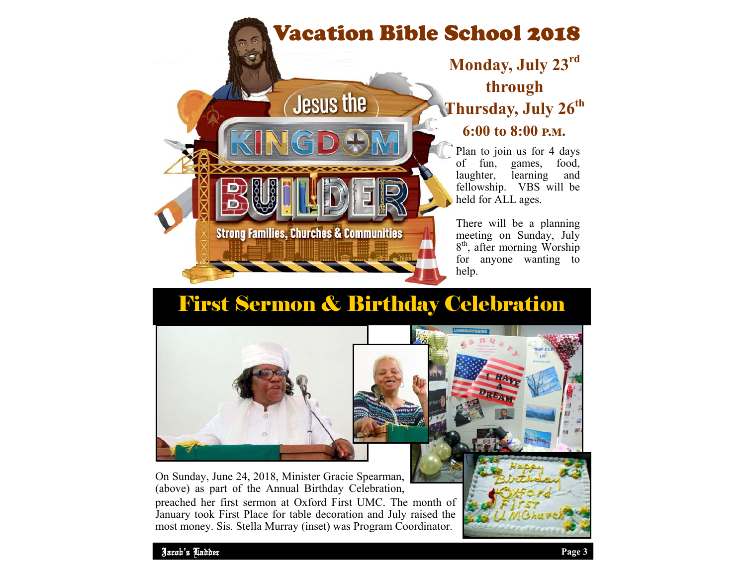# Vacation Bible School 2018



### **Monday, July 23r<sup>d</sup> through Thursday, July 26th 6:00 to 8:00 ඉ.ආ.**

Plan to join us for 4 days of fun, games, food,<br>laughter, learning and learning and fellowship. VBS will be held for ALL ages.

There will be a planning meeting on Sunday, July 8<sup>th</sup>, after morning Worship for anyone wanting to help.

## First Sermon & Birthday Celebration

B.



On Sunday, June 24, 2018, Minister Gracie Spearman, (above) as part of the Annual Birthday Celebration, preached her first sermon at Oxford First UMC. The month of January took First Place for table decoration and July raised the most money. Sis. Stella Murray (inset) was Program Coordinator.